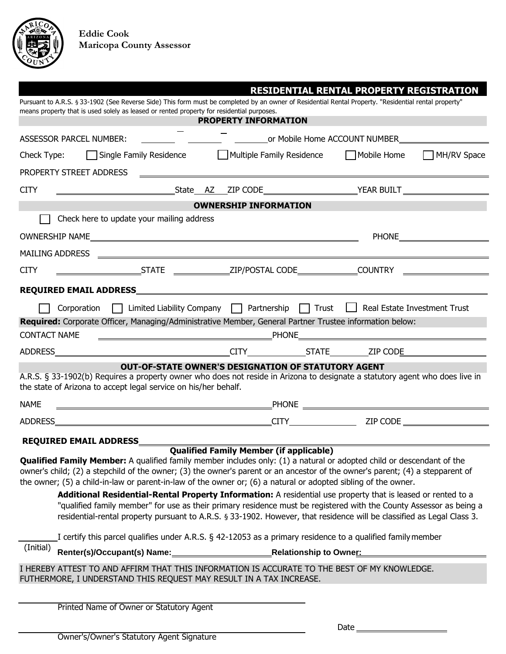

|                                                                                                                                                                                                                                                                                                                                                                                                                                                                                                                                                                                                                                                                                                                                                                               |                                                                                                                       | <b>RESIDENTIAL RENTAL PROPERTY REGISTRATION</b>                                                                     |
|-------------------------------------------------------------------------------------------------------------------------------------------------------------------------------------------------------------------------------------------------------------------------------------------------------------------------------------------------------------------------------------------------------------------------------------------------------------------------------------------------------------------------------------------------------------------------------------------------------------------------------------------------------------------------------------------------------------------------------------------------------------------------------|-----------------------------------------------------------------------------------------------------------------------|---------------------------------------------------------------------------------------------------------------------|
| Pursuant to A.R.S. § 33-1902 (See Reverse Side) This form must be completed by an owner of Residential Rental Property. "Residential rental property"<br>means property that is used solely as leased or rented property for residential purposes.                                                                                                                                                                                                                                                                                                                                                                                                                                                                                                                            |                                                                                                                       |                                                                                                                     |
|                                                                                                                                                                                                                                                                                                                                                                                                                                                                                                                                                                                                                                                                                                                                                                               | <b>PROPERTY INFORMATION</b>                                                                                           |                                                                                                                     |
| <b>ASSESSOR PARCEL NUMBER:</b>                                                                                                                                                                                                                                                                                                                                                                                                                                                                                                                                                                                                                                                                                                                                                |                                                                                                                       |                                                                                                                     |
| Check Type:                                                                                                                                                                                                                                                                                                                                                                                                                                                                                                                                                                                                                                                                                                                                                                   |                                                                                                                       | □ Single Family Residence △ △ Multiple Family Residence △ □ Mobile Home △ □ MH/RV Space                             |
| PROPERTY STREET ADDRESS                                                                                                                                                                                                                                                                                                                                                                                                                                                                                                                                                                                                                                                                                                                                                       | <u> 1989 - Johann Harry Harry Harry Harry Harry Harry Harry Harry Harry Harry Harry Harry Harry Harry Harry Harry</u> |                                                                                                                     |
| <b>CITY</b>                                                                                                                                                                                                                                                                                                                                                                                                                                                                                                                                                                                                                                                                                                                                                                   |                                                                                                                       |                                                                                                                     |
|                                                                                                                                                                                                                                                                                                                                                                                                                                                                                                                                                                                                                                                                                                                                                                               | <b>OWNERSHIP INFORMATION</b>                                                                                          |                                                                                                                     |
| Check here to update your mailing address                                                                                                                                                                                                                                                                                                                                                                                                                                                                                                                                                                                                                                                                                                                                     |                                                                                                                       |                                                                                                                     |
|                                                                                                                                                                                                                                                                                                                                                                                                                                                                                                                                                                                                                                                                                                                                                                               |                                                                                                                       |                                                                                                                     |
|                                                                                                                                                                                                                                                                                                                                                                                                                                                                                                                                                                                                                                                                                                                                                                               |                                                                                                                       |                                                                                                                     |
| <b>CITY</b>                                                                                                                                                                                                                                                                                                                                                                                                                                                                                                                                                                                                                                                                                                                                                                   |                                                                                                                       |                                                                                                                     |
|                                                                                                                                                                                                                                                                                                                                                                                                                                                                                                                                                                                                                                                                                                                                                                               |                                                                                                                       |                                                                                                                     |
| Corporation     Limited Liability Company   Partnership   Trust   Real Estate Investment Trust                                                                                                                                                                                                                                                                                                                                                                                                                                                                                                                                                                                                                                                                                |                                                                                                                       |                                                                                                                     |
| Required: Corporate Officer, Managing/Administrative Member, General Partner Trustee information below:                                                                                                                                                                                                                                                                                                                                                                                                                                                                                                                                                                                                                                                                       |                                                                                                                       |                                                                                                                     |
| <b>CONTACT NAME</b>                                                                                                                                                                                                                                                                                                                                                                                                                                                                                                                                                                                                                                                                                                                                                           |                                                                                                                       |                                                                                                                     |
|                                                                                                                                                                                                                                                                                                                                                                                                                                                                                                                                                                                                                                                                                                                                                                               |                                                                                                                       |                                                                                                                     |
|                                                                                                                                                                                                                                                                                                                                                                                                                                                                                                                                                                                                                                                                                                                                                                               | <b>OUT-OF-STATE OWNER'S DESIGNATION OF STATUTORY AGENT</b>                                                            |                                                                                                                     |
| A.R.S. § 33-1902(b) Requires a property owner who does not reside in Arizona to designate a statutory agent who does live in<br>the state of Arizona to accept legal service on his/her behalf.                                                                                                                                                                                                                                                                                                                                                                                                                                                                                                                                                                               |                                                                                                                       |                                                                                                                     |
| <b>NAME</b>                                                                                                                                                                                                                                                                                                                                                                                                                                                                                                                                                                                                                                                                                                                                                                   |                                                                                                                       |                                                                                                                     |
|                                                                                                                                                                                                                                                                                                                                                                                                                                                                                                                                                                                                                                                                                                                                                                               |                                                                                                                       |                                                                                                                     |
|                                                                                                                                                                                                                                                                                                                                                                                                                                                                                                                                                                                                                                                                                                                                                                               |                                                                                                                       |                                                                                                                     |
| <b>REQUIRED EMAIL ADDRESS____</b><br><b>Qualified Family Member:</b> A qualified family member includes only: (1) a natural or adopted child or descendant of the<br>owner's child; (2) a stepchild of the owner; (3) the owner's parent or an ancestor of the owner's parent; (4) a stepparent of<br>the owner; (5) a child-in-law or parent-in-law of the owner or; (6) a natural or adopted sibling of the owner.<br>Additional Residential-Rental Property Information: A residential use property that is leased or rented to a<br>residential-rental property pursuant to A.R.S. § 33-1902. However, that residence will be classified as Legal Class 3.<br>I certify this parcel qualifies under A.R.S. § 42-12053 as a primary residence to a qualified family member | <b>Qualified Family Member (if applicable)</b>                                                                        | "qualified family member" for use as their primary residence must be registered with the County Assessor as being a |
| (Initial)                                                                                                                                                                                                                                                                                                                                                                                                                                                                                                                                                                                                                                                                                                                                                                     |                                                                                                                       |                                                                                                                     |
|                                                                                                                                                                                                                                                                                                                                                                                                                                                                                                                                                                                                                                                                                                                                                                               | <b>Relationship to Owner:</b>                                                                                         |                                                                                                                     |
| I HEREBY ATTEST TO AND AFFIRM THAT THIS INFORMATION IS ACCURATE TO THE BEST OF MY KNOWLEDGE.<br>FUTHERMORE, I UNDERSTAND THIS REQUEST MAY RESULT IN A TAX INCREASE.                                                                                                                                                                                                                                                                                                                                                                                                                                                                                                                                                                                                           |                                                                                                                       |                                                                                                                     |
|                                                                                                                                                                                                                                                                                                                                                                                                                                                                                                                                                                                                                                                                                                                                                                               |                                                                                                                       |                                                                                                                     |

Printed Name of Owner or Statutory Agent

Date  $\equiv$